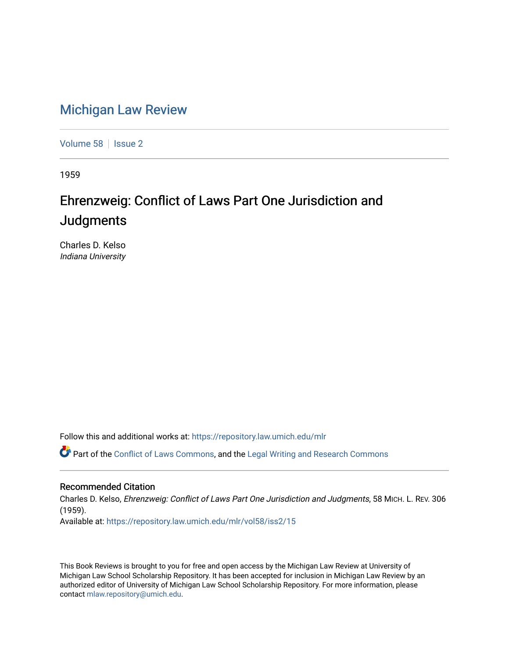## [Michigan Law Review](https://repository.law.umich.edu/mlr)

[Volume 58](https://repository.law.umich.edu/mlr/vol58) | [Issue 2](https://repository.law.umich.edu/mlr/vol58/iss2)

1959

## Ehrenzweig: Conflict of Laws Part One Jurisdiction and **Judgments**

Charles D. Kelso Indiana University

Follow this and additional works at: [https://repository.law.umich.edu/mlr](https://repository.law.umich.edu/mlr?utm_source=repository.law.umich.edu%2Fmlr%2Fvol58%2Fiss2%2F15&utm_medium=PDF&utm_campaign=PDFCoverPages) 

Part of the [Conflict of Laws Commons,](http://network.bepress.com/hgg/discipline/588?utm_source=repository.law.umich.edu%2Fmlr%2Fvol58%2Fiss2%2F15&utm_medium=PDF&utm_campaign=PDFCoverPages) and the [Legal Writing and Research Commons](http://network.bepress.com/hgg/discipline/614?utm_source=repository.law.umich.edu%2Fmlr%2Fvol58%2Fiss2%2F15&utm_medium=PDF&utm_campaign=PDFCoverPages)

## Recommended Citation

Charles D. Kelso, Ehrenzweig: Conflict of Laws Part One Jurisdiction and Judgments, 58 MICH. L. REV. 306 (1959). Available at: [https://repository.law.umich.edu/mlr/vol58/iss2/15](https://repository.law.umich.edu/mlr/vol58/iss2/15?utm_source=repository.law.umich.edu%2Fmlr%2Fvol58%2Fiss2%2F15&utm_medium=PDF&utm_campaign=PDFCoverPages) 

This Book Reviews is brought to you for free and open access by the Michigan Law Review at University of Michigan Law School Scholarship Repository. It has been accepted for inclusion in Michigan Law Review by an authorized editor of University of Michigan Law School Scholarship Repository. For more information, please contact [mlaw.repository@umich.edu](mailto:mlaw.repository@umich.edu).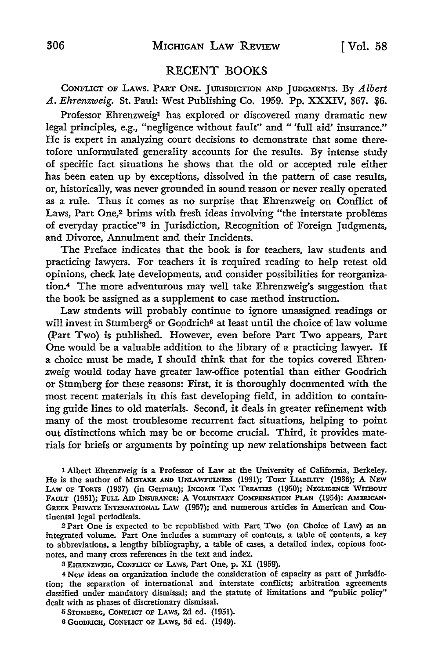## RECENT BOOKS

CONFLICT OF LAws. PART ONE. JURISDICTION AND JUDGMENTS. By *Albert A. Ehrenzweig.* St. Paul: West Publishing Co. 1959. Pp. XXXIV, 367. \$6.

Professor Ehrenzweig<sup>1</sup> has explored or discovered many dramatic new legal principles, e.g., "negligence without fault" and " 'full aid' insurance." He is expert in analyzing court decisions to demonstrate that some theretofore unformulated generality accounts for the results. By intense study of specific fact situations he shows that the old or accepted rule either has been eaten up by exceptions, dissolved in the pattern of case results, or, historically, was never grounded in sound reason or never really operated as a rule. Thus it comes as no surprise that Ehrenzweig on Conflict of Laws, Part One,<sup>2</sup> brims with fresh ideas involving "the interstate problems of everyday practice"3 in Jurisdiction, Recognition of Foreign Judgments, and Divorce, Annulment and their Incidents.

The Preface indicates that the book is for teachers, law students and practicing lawyers. For teachers it is required reading to help retest old opinions, check late developments, and consider possibilities for reorganization.4 The more adventurous may well take Ehrenzweig's suggestion that the book be assigned as a supplement to case method instruction.

Law students will probably continue to ignore unassigned readings or will invest in Stumberg<sup>6</sup> or Goodrich<sup>6</sup> at least until the choice of law volume (Part Two) is published. However, even before Part Two appears, Part One would be a valuable addition to the library of a practicing lawyer. If a choice must be made, I should think that for the topics covered Ehrenzweig would today have greater law-office potential than either Goodrich or Stumberg for these reasons: First, it is thoroughly documented with the most recent materials in this fast developing field, in addition to containing guide lines to old materials. Second, it deals in greater refinement with many of the most troublesome recurrent fact situations, helping to point out distinctions which may be or become crucial. Third, it provides materials for briefs or arguments by pointing up new relationships between fact

1 Albert Ehrenzweig is a Professor of Law at the University of California, Berkeley. He is the author of MISTAKE AND UNLAWFULNESS (1931); TORT LIABILITY (1936); A NEW LAw OF TORTS (1937) (in German); INCOME TAX TREATIES (1950); NEGLIGENCE WITHOUT FAULT (1951); FULL Am INSURANCE: A VOLUNTARY COMPENSATION PLAN (1954): AMERICAN-GREEK PRIVATE INTERNATIONAL LAw (1957); and numerous articles in American and Continental legal periodicals.

<sup>2</sup>Part One is expected to be republished with Part, Two (on Choice of Law) as an integrated volume. Part One includes a summary of contents, a table of contents, a key to abbreviations, a lengthy bibliography, a table of cases, a detailed index, copious footnotes, and many cross references in the text and index.

<sup>3</sup>EHRENZWEIG, CONFLICT OF LAws, Part One, p. XI (1959).

4 New ideas on organization include the consideration of capacity as part of Jurisdiction; the separation of international and interstate conflicts; arbitration agreements classified under mandatory dismissal; and the statute of limitations and "public policy" dealt with as phases of discretionary dismissal.

5 STUMBERG, CONFLICT OF LAws, 2d ed. (1951).

6 GOODRICH, CoNFLICT OF LAws, 3d ed. (1949).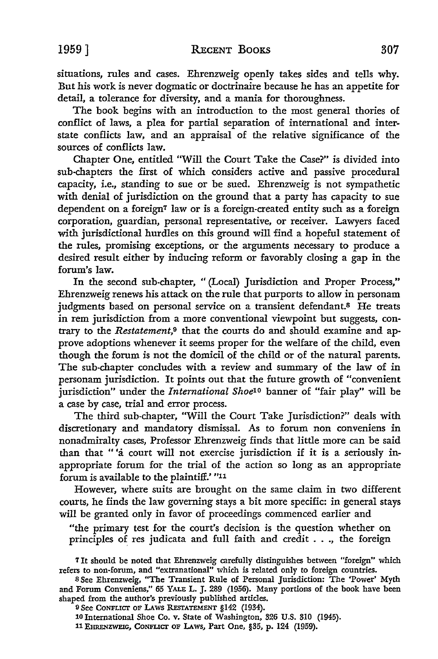situations, rules and cases. Ehrenzweig openly takes sides and tells why. But his work is never dogmatic or doctrinaire because he has an appetite for detail, a tolerance for diversity, and a mania for thoroughness.

The book begins with an introduction to the most general thories of conflict of laws, a plea for partial separation of international and interstate conflicts law, and an appraisal of the relative significance of the sources of conflicts law.

Chapter One, entitled "Will the Court Take the Case?" is divided into sub-chapters the first of which considers active and passive procedural capacity, i.e., standing to sue or be sued. Ehrenzweig is not sympathetic with denial of jurisdiction on the ground that a party has capacity to sue dependent on a foreign<sup>7</sup> law or is a foreign-created entity such as a foreign corporation, guardian, personal representative, or receiver. Lawyers faced with jurisdictional hurdles on this ground will find a hopeful statement of the rules, promising exceptions, or the arguments necessary to produce a desired result either by inducing reform or favorably closing a gap in the forum's law.

In the second sub-chapter, " (Local) Jurisdiction and Proper Process," Ehrenzweig renews his attack on the rule that purports to allow in personam judgments based on personal service on a transient defendant.<sup>8</sup> He treats in rem jurisdiction from a more conventional viewpoint but suggests, contrary to the *Restatement,9* that the courts do and should examine and approve adoptions whenever it seems proper for the welfare of the child, even though the forum is not the domicil of the child or of the natural parents. The sub-chapter concludes with a review and summary of the law of in personam jurisdiction. It points out that the future growth of "convenient jurisdiction" under the *International Shoe10* banner of "fair play" will be a case by case, trial and error process.

The third sub-chapter, "Will the Court Take Jurisdiction?" deals with discretionary and mandatory dismissal. As to forum non conveniens in nonadmiralty cases, Professor Ehrenzweig finds that little more can be said than that " 'a court will not exercise jurisdiction if it is a seriously inappropriate forum for the trial of the action so long as an appropriate forum is available to the plaintiff.' "11

However, where suits are brought on the same claim in two different courts, he finds the law governing stays a bit more specific: in general stays will be granted only in favor of proceedings commenced earlier and

"the primary test for the court's decision is the question whether on principles of res judicata and full faith and credit .. *. ,* the foreign

9 See CONFLICT OF LAWS RESTATEMENT §142 (1934).

10 International Shoe Co. v. State of Washington, 326 U.S. 310 (1945).

**<sup>7</sup> It** should be noted tbat Ehrenzweig carefully distinguishes between "foreign" which refers to non-forum, and "extranational" which is related only to foreign countries.

s See Ehrenzweig, "The Transient Rule of Personal Jurisdiction: The 'Power' Mytb and Forum Conveniens," 65 YALE L. J. 289 (1956). Many portions of the book have been shaped from the author's previously published articles.

<sup>11</sup> EHRENZWEIG, CONFLICT OF LAws, Part One, §35, p. 124 (1959).